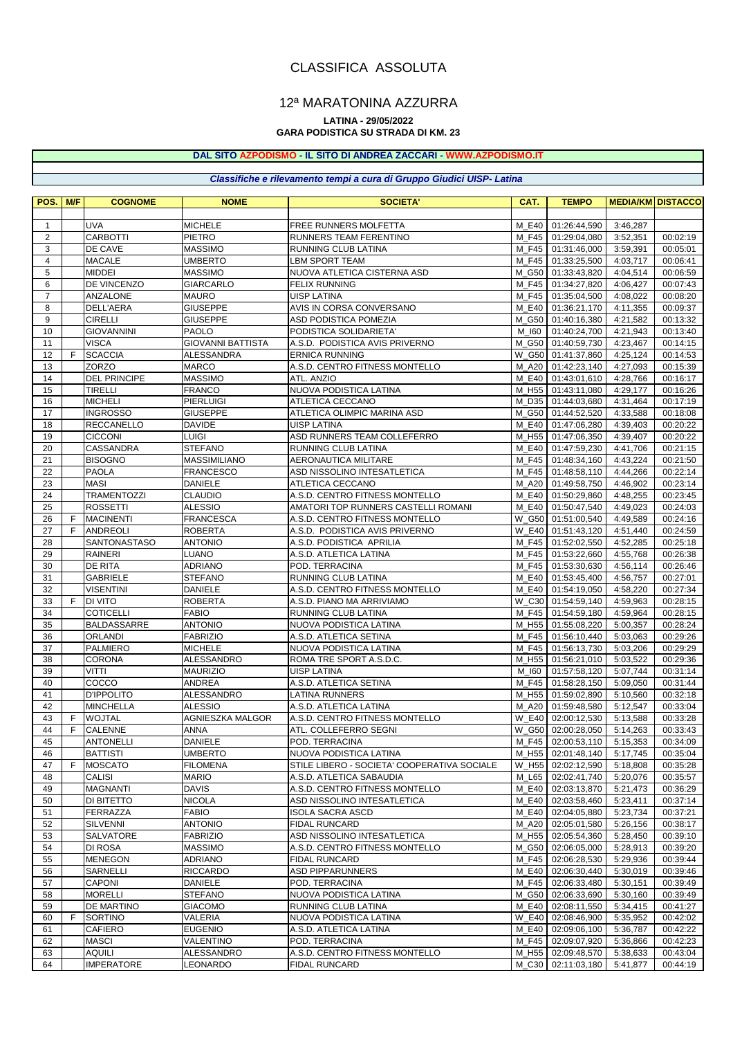## CLASSIFICA ASSOLUTA

### 12ª MARATONINA AZZURRA

### **LATINA - 29/05/2022**

### **GARA PODISTICA SU STRADA DI KM. 23**

### **DAL SITO AZPODISMO - IL SITO DI ANDREA ZACCARI - [WWW.AZPODISMO.IT](http://www.azpodismo.it)**

#### *Classifiche e rilevamento tempi a cura di Gruppo Giudici UISP- Latina*

| POS.           | M/F | <b>COGNOME</b>                   | <b>NOME</b>                        | <b>SOCIETA'</b>                                     | CAT.           | <b>TEMPO</b>                 | <b>MEDIA/KM DISTACCO</b> |                      |
|----------------|-----|----------------------------------|------------------------------------|-----------------------------------------------------|----------------|------------------------------|--------------------------|----------------------|
|                |     |                                  |                                    |                                                     |                |                              |                          |                      |
| $\mathbf{1}$   |     | <b>UVA</b>                       | <b>MICHELE</b>                     | FREE RUNNERS MOLFETTA                               | M E40          | 01:26:44,590                 | 3:46,287                 |                      |
| 2              |     | <b>CARBOTTI</b>                  | <b>PIETRO</b>                      | RUNNERS TEAM FERENTINO                              | M F45          | 01:29:04,080                 | 3:52,351                 | 00:02:19             |
| 3              |     | DE CAVE                          | <b>MASSIMO</b>                     | RUNNING CLUB LATINA                                 | M F45          | 01:31:46,000                 | 3:59,391                 | 00:05:01             |
| $\overline{4}$ |     | <b>MACALE</b>                    | <b>UMBERTO</b>                     | LBM SPORT TEAM                                      | M F45          | 01:33:25,500                 | 4:03,717                 | 00:06:41             |
| 5<br>6         |     | <b>MIDDEI</b><br>DE VINCENZO     | <b>MASSIMO</b><br><b>GIARCARLO</b> | NUOVA ATLETICA CISTERNA ASD<br><b>FELIX RUNNING</b> | M G50<br>M F45 | 01:33:43,820                 | 4:04,514                 | 00:06:59             |
| $\overline{7}$ |     | ANZALONE                         | <b>MAURO</b>                       | <b>UISP LATINA</b>                                  | M F45          | 01:34:27,820<br>01:35:04,500 | 4:06,427<br>4:08,022     | 00:07:43<br>00:08:20 |
| 8              |     | <b>DELL'AERA</b>                 | <b>GIUSEPPE</b>                    | AVIS IN CORSA CONVERSANO                            | M E40          | 01:36:21,170                 | 4:11,355                 | 00:09:37             |
| 9              |     | <b>CIRELLI</b>                   | <b>GIUSEPPE</b>                    | ASD PODISTICA POMEZIA                               | M G50          | 01:40:16,380                 | 4:21,582                 | 00:13:32             |
| 10             |     | <b>GIOVANNINI</b>                | <b>PAOLO</b>                       | PODISTICA SOLIDARIETA'                              | M 160          | 01:40:24,700                 | 4:21,943                 | 00:13:40             |
| 11             |     | <b>VISCA</b>                     | <b>GIOVANNI BATTISTA</b>           | A.S.D. PODISTICA AVIS PRIVERNO                      | M G50          | 01:40:59,730                 | 4:23,467                 | 00:14:15             |
| 12             | F.  | <b>SCACCIA</b>                   | <b>ALESSANDRA</b>                  | <b>ERNICA RUNNING</b>                               |                | W_G50 01:41:37,860           | 4:25,124                 | 00:14:53             |
| 13             |     | <b>ZORZO</b>                     | <b>MARCO</b>                       | A.S.D. CENTRO FITNESS MONTELLO                      | M A20          | 01:42:23,140                 | 4:27,093                 | 00:15:39             |
| 14             |     | <b>DEL PRINCIPE</b>              | <b>MASSIMO</b>                     | ATL. ANZIO                                          | M E40          | 01:43:01,610                 | 4:28,766                 | 00:16:17             |
| 15             |     | <b>TIRELLI</b>                   | <b>FRANCO</b>                      | NUOVA PODISTICA LATINA                              | M H55          | 01:43:11,080                 | 4:29,177                 | 00:16:26             |
| 16             |     | <b>MICHELI</b>                   | <b>PIERLUIGI</b>                   | ATLETICA CECCANO                                    | M D35          | 01:44:03,680                 | 4:31,464                 | 00:17:19             |
| 17             |     | <b>INGROSSO</b>                  | <b>GIUSEPPE</b>                    | ATLETICA OLIMPIC MARINA ASD                         | M G50          | 01:44:52,520                 | 4:33,588                 | 00:18:08             |
| 18             |     | <b>RECCANELLO</b>                | <b>DAVIDE</b>                      | UISP LATINA                                         | M E40          | 01:47:06,280                 | 4:39,403                 | 00:20:22             |
| 19             |     | <b>CICCONI</b>                   | <b>LUIGI</b>                       | ASD RUNNERS TEAM COLLEFERRO                         | M H55          | 01:47:06,350                 | 4:39,407                 | 00:20:22             |
| 20             |     | CASSANDRA                        | <b>STEFANO</b>                     | RUNNING CLUB LATINA                                 | M E40          | 01:47:59,230                 | 4:41,706                 | 00:21:15             |
| 21<br>22       |     | <b>BISOGNO</b><br><b>PAOLA</b>   | MASSIMILIANO                       | AERONAUTICA MILITARE                                | M F45<br>M F45 | 01:48:34,160<br>01:48:58,110 | 4:43,224<br>4:44,266     | 00:21:50             |
| 23             |     | <b>MASI</b>                      | <b>FRANCESCO</b><br>DANIELE        | ASD NISSOLINO INTESATLETICA<br>ATLETICA CECCANO     | M_A20          | 01:49:58,750                 | 4:46,902                 | 00:22:14<br>00:23:14 |
| 24             |     | <b>TRAMENTOZZI</b>               | <b>CLAUDIO</b>                     | A.S.D. CENTRO FITNESS MONTELLO                      | M E40          | 01:50:29,860                 | 4:48,255                 | 00:23:45             |
| 25             |     | <b>ROSSETTI</b>                  | <b>ALESSIO</b>                     | AMATORI TOP RUNNERS CASTELLI ROMANI                 | M E40          | 01:50:47,540                 | 4:49,023                 | 00:24:03             |
| 26             | F   | <b>MACINENTI</b>                 | <b>FRANCESCA</b>                   | A.S.D. CENTRO FITNESS MONTELLO                      | W G50          | 01:51:00,540                 | 4:49,589                 | 00:24:16             |
| 27             | F   | <b>ANDREOLI</b>                  | <b>ROBERTA</b>                     | A.S.D. PODISTICA AVIS PRIVERNO                      | <b>W E40</b>   | 01:51:43,120                 | 4:51,440                 | 00:24:59             |
| 28             |     | <b>SANTONASTASO</b>              | <b>ANTONIO</b>                     | A.S.D. PODISTICA APRILIA                            | M F45          | 01:52:02,550                 | 4:52,285                 | 00:25:18             |
| 29             |     | <b>RAINERI</b>                   | <b>LUANO</b>                       | A.S.D. ATLETICA LATINA                              | M F45          | 01:53:22,660                 | 4:55,768                 | 00:26:38             |
| 30             |     | DE RITA                          | <b>ADRIANO</b>                     | POD. TERRACINA                                      | M F45          | 01:53:30,630                 | 4:56,114                 | 00:26:46             |
| 31             |     | <b>GABRIELE</b>                  | <b>STEFANO</b>                     | RUNNING CLUB LATINA                                 | M E40          | 01:53:45,400                 | 4:56,757                 | 00:27:01             |
| 32             |     | <b>VISENTINI</b>                 | <b>DANIELE</b>                     | A.S.D. CENTRO FITNESS MONTELLO                      | M E40          | 01:54:19,050                 | 4:58,220                 | 00:27:34             |
| 33             | F   | <b>DI VITO</b>                   | <b>ROBERTA</b>                     | A.S.D. PIANO MA ARRIVIAMO                           | W C30          | 01:54:59,140                 | 4:59,963                 | 00:28:15             |
| 34             |     | <b>COTICELLI</b>                 | <b>FABIO</b>                       | RUNNING CLUB LATINA                                 | M F45          | 01:54:59,180                 | 4:59,964                 | 00:28:15             |
| 35             |     | BALDASSARRE                      | <b>ANTONIO</b>                     | NUOVA PODISTICA LATINA                              | M_H55          | 01:55:08,220                 | 5:00,357                 | 00:28:24             |
| 36             |     | <b>ORLANDI</b>                   | <b>FABRIZIO</b>                    | A.S.D. ATLETICA SETINA                              | M F45          | 01:56:10,440                 | 5:03,063                 | 00:29:26             |
| 37<br>38       |     | <b>PALMIERO</b><br><b>CORONA</b> | <b>MICHELE</b><br>ALESSANDRO       | NUOVA PODISTICA LATINA<br>ROMA TRE SPORT A.S.D.C.   | M F45<br>M_H55 | 01:56:13,730<br>01:56:21,010 | 5:03,206<br>5:03,522     | 00:29:29<br>00:29:36 |
| 39             |     | <b>VITTI</b>                     | <b>MAURIZIO</b>                    | <b>UISP LATINA</b>                                  | M 160          | 01:57:58,120                 | 5:07,744                 | 00:31:14             |
| 40             |     | COCCO                            | <b>ANDREA</b>                      | A.S.D. ATLETICA SETINA                              | M F45          | 01:58:28,150                 | 5:09,050                 | 00:31:44             |
| 41             |     | <b>D'IPPOLITO</b>                | ALESSANDRO                         | LATINA RUNNERS                                      | M H55          | 01:59:02,890                 | 5:10,560                 | 00:32:18             |
| 42             |     | <b>MINCHELLA</b>                 | <b>ALESSIO</b>                     | A.S.D. ATLETICA LATINA                              | M A20          | 01:59:48.580                 | 5:12,547                 | 00:33:04             |
| 43             | F   | <b>WOJTAL</b>                    | AGNIESZKA MALGOR                   | A.S.D. CENTRO FITNESS MONTELLO                      | <b>W E40</b>   | 02:00:12,530                 | 5:13,588                 | 00:33:28             |
| 44             | F   | <b>CALENNE</b>                   | <b>ANNA</b>                        | ATL. COLLEFERRO SEGNI                               | W G50          | 02:00:28,050                 | 5:14,263                 | 00:33:43             |
| 45             |     | <b>ANTONELLI</b>                 | <b>DANIELE</b>                     | POD. TERRACINA                                      |                | M_F45   02:00:53,110         | 5:15,353                 | 00:34:09             |
| 46             |     | <b>BATTISTI</b>                  | <b>UMBERTO</b>                     | NUOVA PODISTICA LATINA                              |                | M_H55 02:01:48,140           | 5:17,745                 | 00:35:04             |
| 47             | F.  | <b>MOSCATO</b>                   | <b>FILOMENA</b>                    | STILE LIBERO - SOCIETA' COOPERATIVA SOCIALE         | $W_H55$        | 02:02:12,590                 | 5:18,808                 | 00:35:28             |
| 48             |     | <b>CALISI</b>                    | <b>MARIO</b>                       | A.S.D. ATLETICA SABAUDIA                            | M_L65          | 02:02:41,740                 | 5:20,076                 | 00:35:57             |
| 49             |     | <b>MAGNANTI</b>                  | <b>DAVIS</b>                       | A.S.D. CENTRO FITNESS MONTELLO                      | M E40          | 02:03:13,870                 | 5:21,473                 | 00:36:29             |
| 50             |     | DI BITETTO                       | <b>NICOLA</b>                      | ASD NISSOLINO INTESATLETICA                         | M_E40          | 02:03:58,460                 | 5:23,411                 | 00:37:14             |
| 51             |     | <b>FERRAZZA</b>                  | <b>FABIO</b>                       | <b>ISOLA SACRA ASCD</b>                             | M_E40          | 02:04:05,880                 | 5:23,734                 | 00:37:21             |
| 52<br>53       |     | <b>SILVENNI</b><br>SALVATORE     | <b>ANTONIO</b><br><b>FABRIZIO</b>  | FIDAL RUNCARD<br>ASD NISSOLINO INTESATLETICA        | M_A20<br>M H55 | 02:05:01,580<br>02:05:54,360 | 5:26,156<br>5:28,450     | 00:38:17<br>00:39:10 |
| 54             |     | <b>DI ROSA</b>                   | <b>MASSIMO</b>                     | A.S.D. CENTRO FITNESS MONTELLO                      | M G50          | 02:06:05,000                 | 5:28,913                 | 00:39:20             |
| 55             |     | <b>MENEGON</b>                   | <b>ADRIANO</b>                     | FIDAL RUNCARD                                       | M_F45          | 02:06:28,530                 | 5:29,936                 | 00:39:44             |
| 56             |     | SARNELLI                         | <b>RICCARDO</b>                    | <b>ASD PIPPARUNNERS</b>                             | M_E40          | 02:06:30,440                 | 5:30,019                 | 00:39:46             |
| 57             |     | <b>CAPONI</b>                    | <b>DANIELE</b>                     | POD. TERRACINA                                      | M_F45          | 02:06:33,480                 | 5:30,151                 | 00:39:49             |
| 58             |     | <b>MORELLI</b>                   | <b>STEFANO</b>                     | NUOVA PODISTICA LATINA                              | M_G50          | 02:06:33,690                 | 5:30,160                 | 00:39:49             |
| 59             |     | DE MARTINO                       | <b>GIACOMO</b>                     | RUNNING CLUB LATINA                                 | M E40          | 02:08:11,550                 | 5:34,415                 | 00:41:27             |
| 60             | F   | <b>SORTINO</b>                   | VALERIA                            | NUOVA PODISTICA LATINA                              | <b>W_E40</b>   | 02:08:46,900                 | 5:35,952                 | 00:42:02             |
| 61             |     | <b>CAFIERO</b>                   | <b>EUGENIO</b>                     | A.S.D. ATLETICA LATINA                              | M_E40          | 02:09:06,100                 | 5:36,787                 | 00:42:22             |
| 62             |     | <b>MASCI</b>                     | VALENTINO                          | POD. TERRACINA                                      | M_F45          | 02:09:07,920                 | 5:36,866                 | 00:42:23             |
| 63             |     | <b>AQUILI</b>                    | ALESSANDRO                         | A.S.D. CENTRO FITNESS MONTELLO                      | M_H55          | 02:09:48,570                 | 5:38,633                 | 00:43:04             |
| 64             |     | <b>IMPERATORE</b>                | LEONARDO                           | FIDAL RUNCARD                                       | M_C30          | 02:11:03,180                 | 5:41,877                 | 00:44:19             |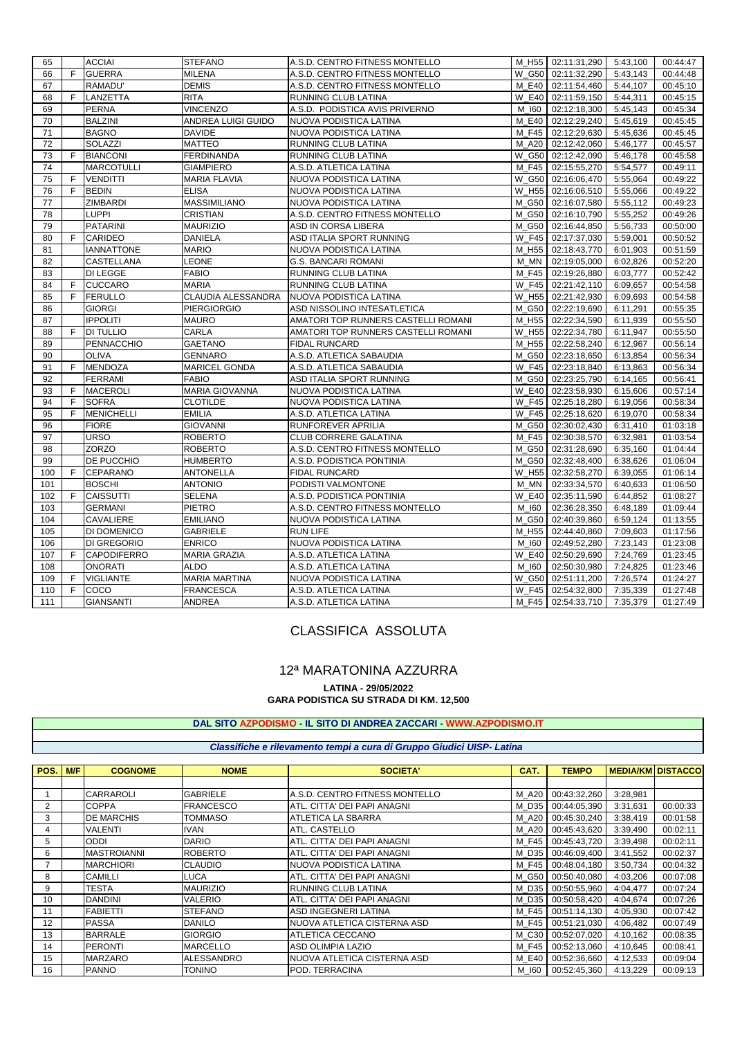| 65  |              | <b>ACCIAI</b>      | <b>STEFANO</b>        | A.S.D. CENTRO FITNESS MONTELLO      |                     | M_H55   02:11:31,290   5:43,100 |          | 00:44:47 |
|-----|--------------|--------------------|-----------------------|-------------------------------------|---------------------|---------------------------------|----------|----------|
| 66  | F.           | <b>GUERRA</b>      | <b>MILENA</b>         | A.S.D. CENTRO FITNESS MONTELLO      |                     | W_G50 02:11:32,290              | 5:43,143 | 00:44:48 |
| 67  |              | RAMADU'            | <b>DEMIS</b>          | A.S.D. CENTRO FITNESS MONTELLO      | M E40               | 02:11:54,460                    | 5:44,107 | 00:45:10 |
| 68  | F.           | LANZETTA           | <b>RITA</b>           | RUNNING CLUB LATINA                 | <b>W E40</b>        | 02:11:59,150                    | 5:44,311 | 00:45:15 |
| 69  |              | <b>PERNA</b>       | <b>VINCENZO</b>       | A.S.D. PODISTICA AVIS PRIVERNO      | M 160               | 02:12:18,300                    | 5:45,143 | 00:45:34 |
| 70  |              | <b>BALZINI</b>     | ANDREA LUIGI GUIDO    | NUOVA PODISTICA LATINA              | M E40               | 02:12:29,240                    | 5:45,619 | 00:45:45 |
| 71  |              | <b>BAGNO</b>       | <b>DAVIDE</b>         | NUOVA PODISTICA LATINA              | M F45               | 02:12:29,630                    | 5:45,636 | 00:45:45 |
| 72  |              | SOLAZZI            | <b>MATTEO</b>         | RUNNING CLUB LATINA                 | M A20               | 02:12:42,060                    | 5:46,177 | 00:45:57 |
| 73  | F.           | <b>BIANCONI</b>    | <b>FERDINANDA</b>     | RUNNING CLUB LATINA                 | $W_G50$             | 02:12:42,090                    | 5:46,178 | 00:45:58 |
| 74  |              | <b>MARCOTULLI</b>  | <b>GIAMPIERO</b>      | A.S.D. ATLETICA LATINA              | M F45               | 02:15:55,270                    | 5:54,577 | 00:49:11 |
| 75  | E            | <b>VENDITTI</b>    | <b>MARIA FLAVIA</b>   | NUOVA PODISTICA LATINA              | W G50               | 02:16:06,470                    | 5:55,064 | 00:49:22 |
| 76  | F            | <b>BEDIN</b>       | <b>ELISA</b>          | NUOVA PODISTICA LATINA              | W_H55               | 02:16:06,510                    | 5:55,066 | 00:49:22 |
| 77  |              | ZIMBARDI           | <b>MASSIMILIANO</b>   | NUOVA PODISTICA LATINA              | M G50               | 02:16:07,580                    | 5:55,112 | 00:49:23 |
| 78  |              | <b>LUPPI</b>       | <b>CRISTIAN</b>       | A.S.D. CENTRO FITNESS MONTELLO      | M G50               | 02:16:10,790                    | 5:55,252 | 00:49:26 |
| 79  |              | <b>PATARINI</b>    | <b>MAURIZIO</b>       | ASD IN CORSA LIBERA                 | M G50               | 02:16:44,850                    | 5:56,733 | 00:50:00 |
| 80  | E            | <b>CARIDEO</b>     | <b>DANIELA</b>        | ASD ITALIA SPORT RUNNING            | <b>W F45</b>        | 02:17:37,030                    | 5:59,001 | 00:50:52 |
| 81  |              | <b>IANNATTONE</b>  | <b>MARIO</b>          | NUOVA PODISTICA LATINA              | M H55               | 02:18:43,770                    | 6:01,903 | 00:51:59 |
| 82  |              | CASTELLANA         | LEONE                 | G.S. BANCARI ROMANI                 | M MN                | 02:19:05,000                    | 6:02,826 | 00:52:20 |
| 83  |              | DI LEGGE           | <b>FABIO</b>          | RUNNING CLUB LATINA                 | M F45               | 02:19:26,880                    | 6:03,777 | 00:52:42 |
| 84  | F            | <b>CUCCARO</b>     | <b>MARIA</b>          | RUNNING CLUB LATINA                 | <b>W F45</b>        | 02:21:42,110                    | 6:09,657 | 00:54:58 |
| 85  | E            | <b>FERULLO</b>     | CLAUDIA ALESSANDRA    | NUOVA PODISTICA LATINA              |                     | W_H55 02:21:42,930              | 6:09,693 | 00:54:58 |
| 86  |              | <b>GIORGI</b>      | <b>PIERGIORGIO</b>    | ASD NISSOLINO INTESATLETICA         | M G50               | 02:22:19,690                    | 6:11,291 | 00:55:35 |
| 87  |              | <b>IPPOLITI</b>    | <b>MAURO</b>          | AMATORI TOP RUNNERS CASTELLI ROMANI | M H55               | 02:22:34,590                    | 6:11,939 | 00:55:50 |
| 88  | F.           | <b>DI TULLIO</b>   | CARLA                 | AMATORI TOP RUNNERS CASTELLI ROMANI | $\overline{W}$ _H55 | 02:22:34,780                    | 6:11,947 | 00:55:50 |
| 89  |              | PENNACCHIO         | <b>GAETANO</b>        | FIDAL RUNCARD                       | M_H55               | 02:22:58,240                    | 6:12,967 | 00:56:14 |
| 90  |              | <b>OLIVA</b>       | <b>GENNARO</b>        | A.S.D. ATLETICA SABAUDIA            | M_G50               | 02:23:18,650                    | 6:13,854 | 00:56:34 |
| 91  | F            | <b>MENDOZA</b>     | MARICEL GONDA         | A.S.D. ATLETICA SABAUDIA            | <b>W F45</b>        | 02:23:18,840                    | 6:13,863 | 00:56:34 |
| 92  |              | <b>FERRAMI</b>     | <b>FABIO</b>          | ASD ITALIA SPORT RUNNING            |                     | M_G50 02:23:25,790              | 6:14,165 | 00:56:41 |
| 93  | F            | <b>MACEROLI</b>    | <b>MARIA GIOVANNA</b> | NUOVA PODISTICA LATINA              | <b>W E40</b>        | 02:23:58,930                    | 6:15,606 | 00:57:14 |
| 94  | F            | <b>SOFRA</b>       | <b>CLOTILDE</b>       | NUOVA PODISTICA LATINA              | W F45               | 02:25:18,280                    | 6:19,056 | 00:58:34 |
| 95  | E            | <b>MENICHELLI</b>  | <b>EMILIA</b>         | A.S.D. ATLETICA LATINA              | W F45               | 02:25:18,620                    | 6:19,070 | 00:58:34 |
| 96  |              | <b>FIORE</b>       | <b>GIOVANNI</b>       | RUNFOREVER APRILIA                  | M_G50               | 02:30:02,430                    | 6:31,410 | 01:03:18 |
| 97  |              | <b>URSO</b>        | <b>ROBERTO</b>        | CLUB CORRERE GALATINA               | M F45               | 02:30:38,570                    | 6:32,981 | 01:03:54 |
| 98  |              | ZORZO              | <b>ROBERTO</b>        | A.S.D. CENTRO FITNESS MONTELLO      | M G50               | 02:31:28,690                    | 6:35,160 | 01:04:44 |
| 99  |              | DE PUCCHIO         | <b>HUMBERTO</b>       | A.S.D. PODISTICA PONTINIA           | M G50               | 02:32:48,400                    | 6:38,626 | 01:06:04 |
| 100 | F.           | CEPARANO           | <b>ANTONELLA</b>      | <b>FIDAL RUNCARD</b>                | W H55               | 02:32:58,270                    | 6:39,055 | 01:06:14 |
| 101 |              | <b>BOSCHI</b>      | <b>ANTONIO</b>        | PODISTI VALMONTONE                  | M MN                | 02:33:34,570                    | 6:40,633 | 01:06:50 |
| 102 | F            | <b>CAISSUTTI</b>   | <b>SELENA</b>         | A.S.D. PODISTICA PONTINIA           | <b>W E40</b>        | 02:35:11,590                    | 6:44,852 | 01:08:27 |
| 103 |              | <b>GERMANI</b>     | <b>PIETRO</b>         | A.S.D. CENTRO FITNESS MONTELLO      | M 160               | 02:36:28,350                    | 6:48,189 | 01:09:44 |
| 104 |              | CAVALIERE          | <b>EMILIANO</b>       | NUOVA PODISTICA LATINA              | M G50               | 02:40:39,860                    | 6:59,124 | 01:13:55 |
| 105 |              | DI DOMENICO        | <b>GABRIELE</b>       | <b>RUN LIFE</b>                     | M H55               | 02:44:40,860                    | 7:09,603 | 01:17:56 |
| 106 |              | DI GREGORIO        | <b>ENRICO</b>         | NUOVA PODISTICA LATINA              | M 160               | 02:49:52,280                    | 7:23,143 | 01:23:08 |
| 107 | F            | <b>CAPODIFERRO</b> | <b>MARIA GRAZIA</b>   | A.S.D. ATLETICA LATINA              | <b>W E40</b>        | 02:50:29,690                    | 7:24,769 | 01:23:45 |
| 108 |              | <b>ONORATI</b>     | <b>ALDO</b>           | A.S.D. ATLETICA LATINA              | M 160               | 02:50:30,980                    | 7:24,825 | 01:23:46 |
| 109 | F            | <b>VIGLIANTE</b>   | <b>MARIA MARTINA</b>  | NUOVA PODISTICA LATINA              | W G50               | 02:51:11,200                    | 7:26,574 | 01:24:27 |
| 110 | $\mathsf{F}$ | COCO               | <b>FRANCESCA</b>      | A.S.D. ATLETICA LATINA              | <b>W F45</b>        | 02:54:32,800                    | 7:35,339 | 01:27:48 |
| 111 |              | <b>GIANSANTI</b>   | ANDREA                | A.S.D. ATLETICA LATINA              | M F45               | 02:54:33,710                    | 7:35,379 | 01:27:49 |

# CLASSIFICA ASSOLUTA

#### **GARA PODISTICA SU STRADA DI KM. 12,500** 12ª MARATONINA AZZURRA **LATINA - 29/05/2022**

**DAL SITO AZPODISMO - IL SITO DI ANDREA ZACCARI - [WWW.AZPODISMO](http://www.azpodismo.it).IT**

|      |            |                    |                   | Classifiche e rilevamento tempi a cura di Gruppo Giudici UISP- Latina |       |              |          |                          |
|------|------------|--------------------|-------------------|-----------------------------------------------------------------------|-------|--------------|----------|--------------------------|
|      |            |                    |                   |                                                                       |       |              |          |                          |
| POS. | <b>M/F</b> | <b>COGNOME</b>     | <b>NOME</b>       | <b>SOCIETA'</b>                                                       | CAT.  | <b>TEMPO</b> |          | <b>MEDIA/KM DISTACCO</b> |
|      |            |                    |                   |                                                                       |       |              |          |                          |
|      |            | <b>CARRAROLI</b>   | <b>GABRIELE</b>   | IA.S.D. CENTRO FITNESS MONTELLO                                       | M A20 | 00:43:32,260 | 3:28,981 |                          |
|      |            | <b>COPPA</b>       | <b>FRANCESCO</b>  | ATL. CITTA' DEI PAPI ANAGNI                                           | M D35 | 00:44:05,390 | 3:31,631 | 00:00:33                 |
| 3    |            | <b>DE MARCHIS</b>  | <b>TOMMASO</b>    | <b>ATLETICA LA SBARRA</b>                                             | M A20 | 00:45:30,240 | 3:38,419 | 00:01:58                 |
| 4    |            | <b>VALENTI</b>     | <b>IVAN</b>       | ATL. CASTELLO                                                         | M A20 | 00:45:43,620 | 3:39,490 | 00:02:11                 |
| 5    |            | <b>ODDI</b>        | <b>DARIO</b>      | ATL. CITTA' DEI PAPI ANAGNI                                           | M F45 | 00:45:43,720 | 3:39,498 | 00:02:11                 |
| 6    |            | <b>MASTROIANNI</b> | <b>ROBERTO</b>    | ATL. CITTA' DEI PAPI ANAGNI                                           | M D35 | 00:46:09,400 | 3:41,552 | 00:02:37                 |
|      |            | <b>MARCHIORI</b>   | <b>CLAUDIO</b>    | <b>NUOVA PODISTICA LATINA</b>                                         | M F45 | 00:48:04.180 | 3:50,734 | 00:04:32                 |
| 8    |            | <b>CAMILLI</b>     | LUCA              | ATL. CITTA' DEI PAPI ANAGNI                                           | M G50 | 00:50:40,080 | 4:03,206 | 00:07:08                 |
| 9    |            | <b>TESTA</b>       | <b>MAURIZIO</b>   | RUNNING CLUB LATINA                                                   | M D35 | 00:50:55,960 | 4:04,477 | 00:07:24                 |
| 10   |            | <b>DANDINI</b>     | <b>VALERIO</b>    | ATL. CITTA' DEI PAPI ANAGNI                                           | M D35 | 00:50:58,420 | 4:04,674 | 00:07:26                 |
| 11   |            | <b>FABIETTI</b>    | <b>STEFANO</b>    | <b>ASD INGEGNERI LATINA</b>                                           | M F45 | 00:51:14,130 | 4:05,930 | 00:07:42                 |
| 12   |            | <b>PASSA</b>       | <b>DANILO</b>     | INUOVA ATLETICA CISTERNA ASD                                          | M F45 | 00:51:21,030 | 4:06,482 | 00:07:49                 |
| 13   |            | <b>BARRALE</b>     | <b>GIORGIO</b>    | <b>ATLETICA CECCANO</b>                                               | M C30 | 00:52:07,020 | 4:10,162 | 00:08:35                 |
| 14   |            | <b>PERONTI</b>     | <b>MARCELLO</b>   | <b>ASD OLIMPIA LAZIO</b>                                              | M F45 | 00:52:13,060 | 4:10,645 | 00:08:41                 |
| 15   |            | <b>MARZARO</b>     | <b>ALESSANDRO</b> | NUOVA ATLETICA CISTERNA ASD                                           | M E40 | 00:52:36,660 | 4:12,533 | 00:09:04                 |
| 16   |            | <b>PANNO</b>       | <b>TONINO</b>     | POD. TERRACINA                                                        | M 160 | 00:52:45.360 | 4:13,229 | 00:09:13                 |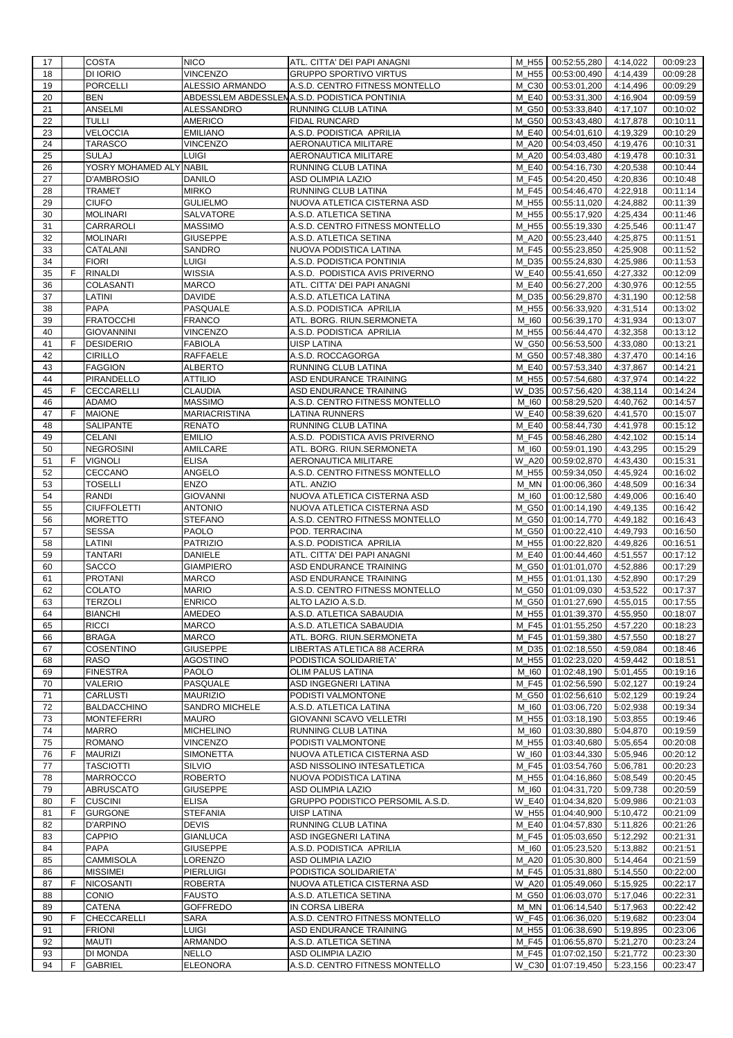| 17       |    | <b>COSTA</b>                      | <b>NICO</b>                     | ATL. CITTA' DEI PAPI ANAGNI                         |                | M_H55 00:52:55,280           | 4:14,022             | 00:09:23             |
|----------|----|-----------------------------------|---------------------------------|-----------------------------------------------------|----------------|------------------------------|----------------------|----------------------|
| 18       |    | DI IORIO                          | <b>VINCENZO</b>                 | <b>GRUPPO SPORTIVO VIRTUS</b>                       | M H55          | 00:53:00,490                 | 4:14,439             | 00:09:28             |
| 19       |    | <b>PORCELLI</b>                   | ALESSIO ARMANDO                 | A.S.D. CENTRO FITNESS MONTELLO                      | M C30          | 00:53:01,200                 | 4:14,496             | 00:09:29             |
| 20       |    | <b>BEN</b>                        |                                 | ABDESSLEM ABDESSLENA.S.D. PODISTICA PONTINIA        | M E40          | 00:53:31,300                 | 4:16,904             | 00:09:59             |
| 21       |    | ANSELMI                           | ALESSANDRO                      | RUNNING CLUB LATINA                                 | M G50          | 00:53:33,840                 | 4:17,107             | 00:10:02             |
| 22       |    | <b>TULLI</b>                      | <b>AMERICO</b>                  | <b>FIDAL RUNCARD</b>                                | M G50          | 00:53:43,480                 | 4:17,878             | 00:10:11             |
|          |    |                                   |                                 |                                                     | M E40          | 00:54:01,610                 |                      |                      |
| 23       |    | VELOCCIA                          | <b>EMILIANO</b>                 | A.S.D. PODISTICA APRILIA                            |                |                              | 4:19,329             | 00:10:29             |
| 24       |    | TARASCO                           | <b>VINCENZO</b>                 | AERONAUTICA MILITARE                                | M A20          | 00:54:03,450                 | 4:19,476             | 00:10:31             |
| 25       |    | <b>SULAJ</b>                      | <b>LUIGI</b>                    | AERONAUTICA MILITARE                                | <b>M_A20</b>   | 00:54:03,480                 | 4:19,478             | 00:10:31             |
| 26       |    | YOSRY MOHAMED ALY NABIL           |                                 | RUNNING CLUB LATINA                                 | M_E40          | 00:54:16,730                 | 4:20,538             | 00:10:44             |
| 27       |    | <b>D'AMBROSIO</b>                 | <b>DANILO</b>                   | ASD OLIMPIA LAZIO                                   | M F45          | 00:54:20,450                 | 4:20,836             | 00:10:48             |
| 28       |    | TRAMET                            | <b>MIRKO</b>                    | RUNNING CLUB LATINA                                 | M F45          | 00:54:46,470                 | 4:22,918             | 00:11:14             |
| 29       |    | <b>CIUFO</b>                      | <b>GULIELMO</b>                 | NUOVA ATLETICA CISTERNA ASD                         | M_H55          | 00:55:11,020                 | 4:24,882             | 00:11:39             |
| 30       |    | <b>MOLINARI</b>                   | SALVATORE                       | A.S.D. ATLETICA SETINA                              | M H55          | 00:55:17,920                 | 4:25,434             | 00:11:46             |
| 31       |    | CARRAROLI                         | <b>MASSIMO</b>                  | A.S.D. CENTRO FITNESS MONTELLO                      | M_H55          | 00:55:19,330                 | 4:25,546             | 00:11:47             |
| 32       |    | <b>MOLINARI</b>                   | <b>GIUSEPPE</b>                 | A.S.D. ATLETICA SETINA                              | M A20          | 00:55:23,440                 | 4:25,875             | 00:11:51             |
| 33       |    | CATALANI                          | SANDRO                          | NUOVA PODISTICA LATINA                              | M F45          | 00:55:23,850                 | 4:25,908             | 00:11:52             |
|          |    |                                   | LUIGI                           |                                                     |                |                              |                      |                      |
| 34       |    | <b>FIORI</b>                      |                                 | A.S.D. PODISTICA PONTINIA                           | M D35          | 00:55:24,830                 | 4:25,986             | 00:11:53             |
| 35       | F. | <b>RINALDI</b>                    | WISSIA                          | A.S.D. PODISTICA AVIS PRIVERNO                      | <b>W E40</b>   | 00:55:41,650                 | 4:27,332             | 00:12:09             |
| 36       |    | <b>COLASANTI</b>                  | <b>MARCO</b>                    | ATL. CITTA' DEI PAPI ANAGNI                         | M E40          | 00:56:27,200                 | 4:30,976             | 00:12:55             |
| 37       |    | LATINI                            | <b>DAVIDE</b>                   | A.S.D. ATLETICA LATINA                              | M D35          | 00:56:29,870                 | 4:31,190             | 00:12:58             |
| 38       |    | <b>PAPA</b>                       | PASQUALE                        | A.S.D. PODISTICA APRILIA                            | M_H55          | 00:56:33,920                 | 4:31,514             | 00:13:02             |
| 39       |    | <b>FRATOCCHI</b>                  | <b>FRANCO</b>                   | ATL. BORG. RIUN.SERMONETA                           | M 160          | 00:56:39,170                 | 4:31,934             | 00:13:07             |
| 40       |    | <b>GIOVANNINI</b>                 | VINCENZO                        | A.S.D. PODISTICA APRILIA                            | M_H55          | 00:56:44,470                 | 4:32,358             | 00:13:12             |
| 41       | F  | <b>DESIDERIO</b>                  | <b>FABIOLA</b>                  | <b>UISP LATINA</b>                                  | W G50          | 00:56:53,500                 | 4:33,080             | 00:13:21             |
| 42       |    | <b>CIRILLO</b>                    | <b>RAFFAELE</b>                 | A.S.D. ROCCAGORGA                                   | M G50          | 00:57:48,380                 | 4:37,470             | 00:14:16             |
| 43       |    | <b>FAGGION</b>                    | <b>ALBERTO</b>                  | RUNNING CLUB LATINA                                 | M_E40          | 00:57:53,340                 | 4:37,867             | 00:14:21             |
| 44       |    | <b>PIRANDELLO</b>                 | <b>ATTILIO</b>                  | ASD ENDURANCE TRAINING                              | M H55          | 00:57:54,680                 | 4:37,974             | 00:14:22             |
|          | F  |                                   |                                 |                                                     | W D35          |                              |                      |                      |
| 45       |    | <b>CECCARELLI</b><br><b>ADAMO</b> | <b>CLAUDIA</b>                  | ASD ENDURANCE TRAINING                              |                | 00:57:56,420                 | 4:38,114             | 00:14:24             |
| 46       |    |                                   | <b>MASSIMO</b>                  | A.S.D. CENTRO FITNESS MONTELLO                      | M 160          | 00:58:29,520                 | 4:40,762             | 00:14:57             |
| 47       | F. | <b>MAIONE</b>                     | <b>MARIACRISTINA</b>            | <b>LATINA RUNNERS</b>                               | <b>W E40</b>   | 00:58:39,620                 | 4:41,570             | 00:15:07             |
| 48       |    | SALIPANTE                         | <b>RENATO</b>                   | RUNNING CLUB LATINA                                 | M E40          | 00:58:44,730                 | 4:41,978             | 00:15:12             |
| 49       |    | <b>CELANI</b>                     | <b>EMILIO</b>                   | A.S.D. PODISTICA AVIS PRIVERNO                      | M F45          | 00:58:46,280                 | 4:42,102             | 00:15:14             |
| 50       |    | <b>NEGROSINI</b>                  | AMILCARE                        | ATL. BORG. RIUN.SERMONETA                           | M 160          | 00:59:01,190                 | 4:43,295             | 00:15:29             |
| 51       | F  | <b>VIGNOLI</b>                    | <b>ELISA</b>                    | AERONAUTICA MILITARE                                | <b>W A20</b>   | 00:59:02,870                 | 4:43,430             | 00:15:31             |
| 52       |    | <b>CECCANO</b>                    | ANGELO                          | A.S.D. CENTRO FITNESS MONTELLO                      | M H55          | 00:59:34,050                 | 4:45,924             | 00:16:02             |
| 53       |    | <b>TOSELLI</b>                    | <b>ENZO</b>                     | ATL. ANZIO                                          | M MN           | 01:00:06,360                 | 4:48,509             | 00:16:34             |
| 54       |    | <b>RANDI</b>                      | <b>GIOVANNI</b>                 | NUOVA ATLETICA CISTERNA ASD                         | M 160          | 01:00:12,580                 | 4:49,006             | 00:16:40             |
|          |    |                                   |                                 |                                                     |                |                              |                      |                      |
|          |    |                                   |                                 |                                                     |                |                              |                      |                      |
| 55       |    | <b>CIUFFOLETTI</b>                | <b>ANTONIO</b>                  | NUOVA ATLETICA CISTERNA ASD                         | M G50          | 01:00:14,190                 | 4:49,135             | 00:16:42             |
| 56       |    | <b>MORETTO</b>                    | <b>STEFANO</b>                  | A.S.D. CENTRO FITNESS MONTELLO                      | M G50          | 01:00:14,770                 | 4:49,182             | 00:16:43             |
| 57       |    | <b>SESSA</b>                      | <b>PAOLO</b>                    | POD. TERRACINA                                      | M G50          | 01:00:22,410                 | 4:49,793             | 00:16:50             |
| 58       |    | LATINI                            | <b>PATRIZIO</b>                 | A.S.D. PODISTICA APRILIA                            | M_H55          | 01:00:22,820                 | 4:49,826             | 00:16:51             |
| 59       |    | <b>TANTARI</b>                    | <b>DANIELE</b>                  | ATL. CITTA' DEI PAPI ANAGNI                         | M E40          | 01:00:44,460                 | 4:51,557             | 00:17:12             |
| 60       |    | <b>SACCO</b>                      | <b>GIAMPIERO</b>                | ASD ENDURANCE TRAINING                              |                | M_G50 01:01:01,070           | 4:52,886             | 00:17:29             |
| 61       |    | <b>PROTANI</b>                    | <b>MARCO</b>                    | ASD ENDURANCE TRAINING                              | M H55          | 01:01:01,130                 | 4:52,890             | 00:17:29             |
| 62       |    | COLATO                            | <b>MARIO</b>                    | A.S.D. CENTRO FITNESS MONTELLO                      | M G50          | 01:01:09,030                 | 4:53,522             | 00:17:37             |
| 63       |    | <b>TERZOLI</b>                    | <b>ENRICO</b>                   | ALTO LAZIO A.S.D.                                   |                |                              | 4:55,015             | 00:17:55             |
|          |    |                                   |                                 |                                                     |                | M_G50 01:01:27,690           |                      |                      |
| 64       |    | <b>BIANCHI</b>                    | AMEDEO                          | A.S.D. ATLETICA SABAUDIA                            |                | M_H55   01:01:39,370         | 4:55,950             | 00:18:07             |
| 65       |    | <b>RICCI</b>                      | <b>MARCO</b>                    | A.S.D. ATLETICA SABAUDIA                            | M F45          | 01:01:55,250                 | 4:57,220             | 00:18:23             |
| 66       |    | <b>BRAGA</b>                      | <b>MARCO</b>                    | ATL. BORG. RIUN.SERMONETA                           | M F45          | 01:01:59,380                 | 4:57,550             | 00:18:27             |
| 67       |    | <b>COSENTINO</b>                  | <b>GIUSEPPE</b>                 | LIBERTAS ATLETICA 88 ACERRA                         | M D35          | 01:02:18,550                 | 4:59,084             | 00:18:46             |
| 68       |    | <b>RASO</b>                       | <b>AGOSTINO</b>                 | PODISTICA SOLIDARIETA'                              | M H55          | 01:02:23,020                 | 4:59,442             | 00:18:51             |
| 69       |    | <b>FINESTRA</b>                   | PAOLO                           | OLIM PALUS LATINA                                   | M_I60          | 01:02:48,190                 | 5:01,455             | 00:19:16             |
| 70       |    | VALERIO                           | PASQUALE                        | ASD INGEGNERI LATINA                                | M_F45          | 01:02:56,590                 | 5:02,127             | 00:19:24             |
| 71       |    | <b>CARLUSTI</b>                   | <b>MAURIZIO</b>                 | PODISTI VALMONTONE                                  | M G50          | 01:02:56,610                 | 5:02,129             | 00:19:24             |
| 72       |    | <b>BALDACCHINO</b>                | SANDRO MICHELE                  | A.S.D. ATLETICA LATINA                              | M_I60          | 01:03:06,720                 | 5:02,938             | 00:19:34             |
| 73       |    | <b>MONTEFERRI</b>                 | <b>MAURO</b>                    | GIOVANNI SCAVO VELLETRI                             | M_H55          | 01:03:18,190                 | 5:03,855             | 00:19:46             |
| 74       |    | <b>MARRO</b>                      | <b>MICHELINO</b>                | RUNNING CLUB LATINA                                 | M 160          | 01:03:30,880                 | 5:04,870             | 00:19:59             |
| 75       |    | <b>ROMANO</b>                     | VINCENZO                        | PODISTI VALMONTONE                                  | M_H55          | 01:03:40,680                 | 5:05,654             | 00:20:08             |
|          | F. | <b>MAURIZI</b>                    |                                 | NUOVA ATLETICA CISTERNA ASD                         | W 160          | 01:03:44,330                 |                      |                      |
| 76       |    |                                   | <b>SIMONETTA</b>                |                                                     |                |                              | 5:05,946             | 00:20:12             |
| 77       |    | <b>TASCIOTTI</b>                  | SILVIO                          | ASD NISSOLINO INTESATLETICA                         | M_F45          | 01:03:54,760                 | 5:06,781             | 00:20:23             |
| 78       |    | <b>MARROCCO</b>                   | <b>ROBERTO</b>                  | NUOVA PODISTICA LATINA                              | M_H55          | 01:04:16,860                 | 5:08,549             | 00:20:45             |
| 79       |    | <b>ABRUSCATO</b>                  | <b>GIUSEPPE</b>                 | ASD OLIMPIA LAZIO                                   | M_I60          | 01:04:31,720                 | 5:09,738             | 00:20:59             |
| 80       | F  | <b>CUSCINI</b>                    | <b>ELISA</b>                    | GRUPPO PODISTICO PERSOMIL A.S.D.                    | <b>W E40</b>   | 01:04:34,820                 | 5:09,986             | 00:21:03             |
| 81       | F  | <b>GURGONE</b>                    | <b>STEFANIA</b>                 | UISP LATINA                                         | W_H55          | 01:04:40,900                 | 5:10,472             | 00:21:09             |
| 82       |    | <b>D'ARPINO</b>                   | <b>DEVIS</b>                    | RUNNING CLUB LATINA                                 | M_E40          | 01:04:57,830                 | 5:11,826             | 00:21:26             |
| 83       |    | <b>CAPPIO</b>                     | <b>GIANLUCA</b>                 | ASD INGEGNERI LATINA                                | M F45          | 01:05:03,650                 | 5:12,292             | 00:21:31             |
| 84       |    | <b>PAPA</b>                       | <b>GIUSEPPE</b>                 | A.S.D. PODISTICA APRILIA                            | M_I60          | 01:05:23,520                 | 5:13,882             | 00:21:51             |
| 85       |    | <b>CAMMISOLA</b>                  | LORENZO                         | ASD OLIMPIA LAZIO                                   | <b>M_A20</b>   | 01:05:30,800                 | 5:14,464             | 00:21:59             |
| 86       |    | <b>MISSIMEI</b>                   | <b>PIERLUIGI</b>                | PODISTICA SOLIDARIETA'                              | M F45          | 01:05:31,880                 | 5:14,550             | 00:22:00             |
| 87       | F  | <b>NICOSANTI</b>                  | <b>ROBERTA</b>                  | NUOVA ATLETICA CISTERNA ASD                         | W_A20          | 01:05:49,060                 | 5:15,925             | 00:22:17             |
| 88       |    | <b>CONIO</b>                      | <b>FAUSTO</b>                   |                                                     |                |                              |                      |                      |
|          |    |                                   |                                 | A.S.D. ATLETICA SETINA                              | M_G50          | 01:06:03,070                 | 5:17,046             | 00:22:31             |
| 89       |    | <b>CATENA</b>                     | <b>GOFFREDO</b>                 | IN CORSA LIBERA                                     | M_MN           | 01:06:14,540                 | 5:17,963             | 00:22:42             |
| 90       | F  | CHECCARELLI                       | <b>SARA</b>                     | A.S.D. CENTRO FITNESS MONTELLO                      | W F45          | 01:06:36,020                 | 5:19,682             | 00:23:04             |
| 91       |    | <b>FRIONI</b>                     | <b>LUIGI</b>                    | ASD ENDURANCE TRAINING                              | M H55          | 01:06:38,690                 | 5:19,895             | 00:23:06             |
| 92       |    | <b>MAUTI</b>                      | ARMANDO                         | A.S.D. ATLETICA SETINA                              | M F45          | 01:06:55,870                 | 5:21,270             | 00:23:24             |
| 93<br>94 | F  | DI MONDA<br><b>GABRIEL</b>        | <b>NELLO</b><br><b>ELEONORA</b> | ASD OLIMPIA LAZIO<br>A.S.D. CENTRO FITNESS MONTELLO | M F45<br>W C30 | 01:07:02,150<br>01:07:19,450 | 5:21,772<br>5:23,156 | 00:23:30<br>00:23:47 |